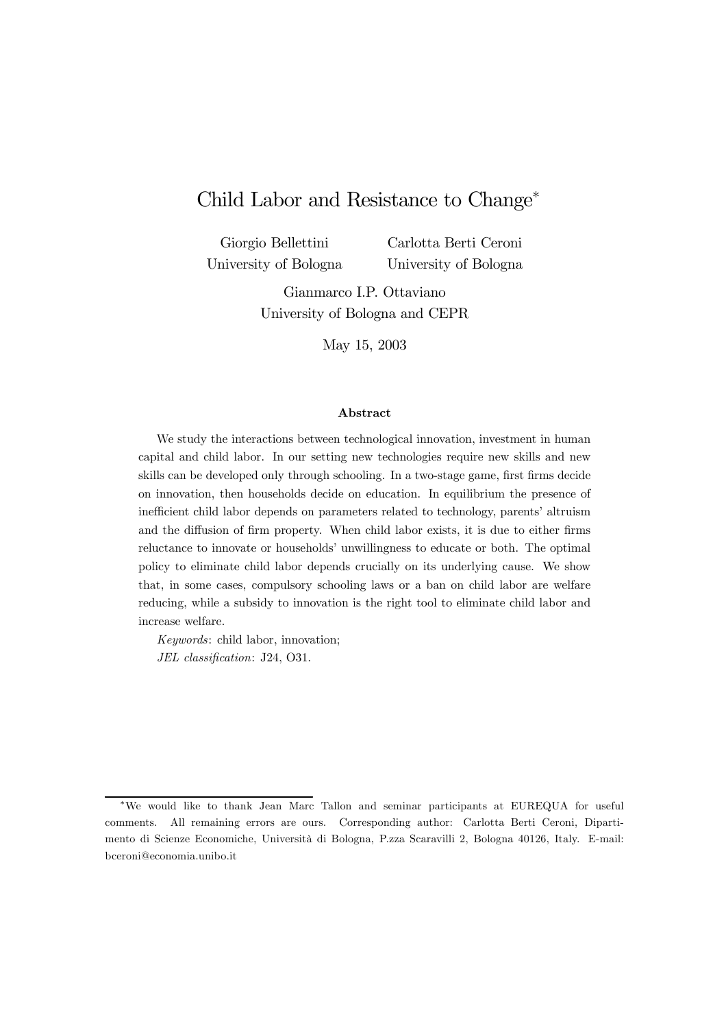# Child Labor and Resistance to Change<sup>∗</sup>

Giorgio Bellettini University of Bologna Carlotta Berti Ceroni University of Bologna

Gianmarco I.P. Ottaviano University of Bologna and CEPR

May 15, 2003

#### Abstract

We study the interactions between technological innovation, investment in human capital and child labor. In our setting new technologies require new skills and new skills can be developed only through schooling. In a two-stage game, first firms decide on innovation, then households decide on education. In equilibrium the presence of inefficient child labor depends on parameters related to technology, parents' altruism and the diffusion of firm property. When child labor exists, it is due to either firms reluctance to innovate or households' unwillingness to educate or both. The optimal policy to eliminate child labor depends crucially on its underlying cause. We show that, in some cases, compulsory schooling laws or a ban on child labor are welfare reducing, while a subsidy to innovation is the right tool to eliminate child labor and increase welfare.

Keywords: child labor, innovation; JEL classification: J24, O31.

<sup>∗</sup>We would like to thank Jean Marc Tallon and seminar participants at EUREQUA for useful comments. All remaining errors are ours. Corresponding author: Carlotta Berti Ceroni, Dipartimento di Scienze Economiche, Università di Bologna, P.zza Scaravilli 2, Bologna 40126, Italy. E-mail: bceroni@economia.unibo.it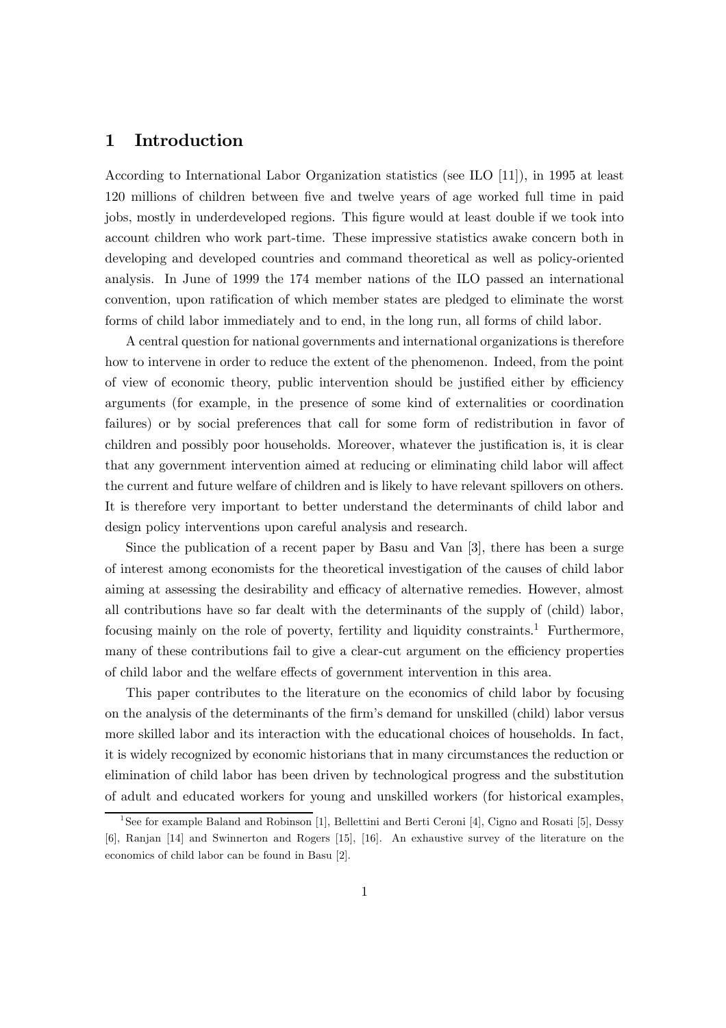## 1 Introduction

According to International Labor Organization statistics (see ILO [11]), in 1995 at least 120 millions of children between five and twelve years of age worked full time in paid jobs, mostly in underdeveloped regions. This figure would at least double if we took into account children who work part-time. These impressive statistics awake concern both in developing and developed countries and command theoretical as well as policy-oriented analysis. In June of 1999 the 174 member nations of the ILO passed an international convention, upon ratification of which member states are pledged to eliminate the worst forms of child labor immediately and to end, in the long run, all forms of child labor.

A central question for national governments and international organizations is therefore how to intervene in order to reduce the extent of the phenomenon. Indeed, from the point of view of economic theory, public intervention should be justified either by efficiency arguments (for example, in the presence of some kind of externalities or coordination failures) or by social preferences that call for some form of redistribution in favor of children and possibly poor households. Moreover, whatever the justification is, it is clear that any government intervention aimed at reducing or eliminating child labor will affect the current and future welfare of children and is likely to have relevant spillovers on others. It is therefore very important to better understand the determinants of child labor and design policy interventions upon careful analysis and research.

Since the publication of a recent paper by Basu and Van [3], there has been a surge of interest among economists for the theoretical investigation of the causes of child labor aiming at assessing the desirability and efficacy of alternative remedies. However, almost all contributions have so far dealt with the determinants of the supply of (child) labor, focusing mainly on the role of poverty, fertility and liquidity constraints.<sup>1</sup> Furthermore, many of these contributions fail to give a clear-cut argument on the efficiency properties of child labor and the welfare effects of government intervention in this area.

This paper contributes to the literature on the economics of child labor by focusing on the analysis of the determinants of the firm's demand for unskilled (child) labor versus more skilled labor and its interaction with the educational choices of households. In fact, it is widely recognized by economic historians that in many circumstances the reduction or elimination of child labor has been driven by technological progress and the substitution of adult and educated workers for young and unskilled workers (for historical examples,

<sup>&</sup>lt;sup>1</sup>See for example Baland and Robinson [1], Bellettini and Berti Ceroni [4], Cigno and Rosati [5], Dessy [6], Ranjan [14] and Swinnerton and Rogers [15], [16]. An exhaustive survey of the literature on the economics of child labor can be found in Basu [2].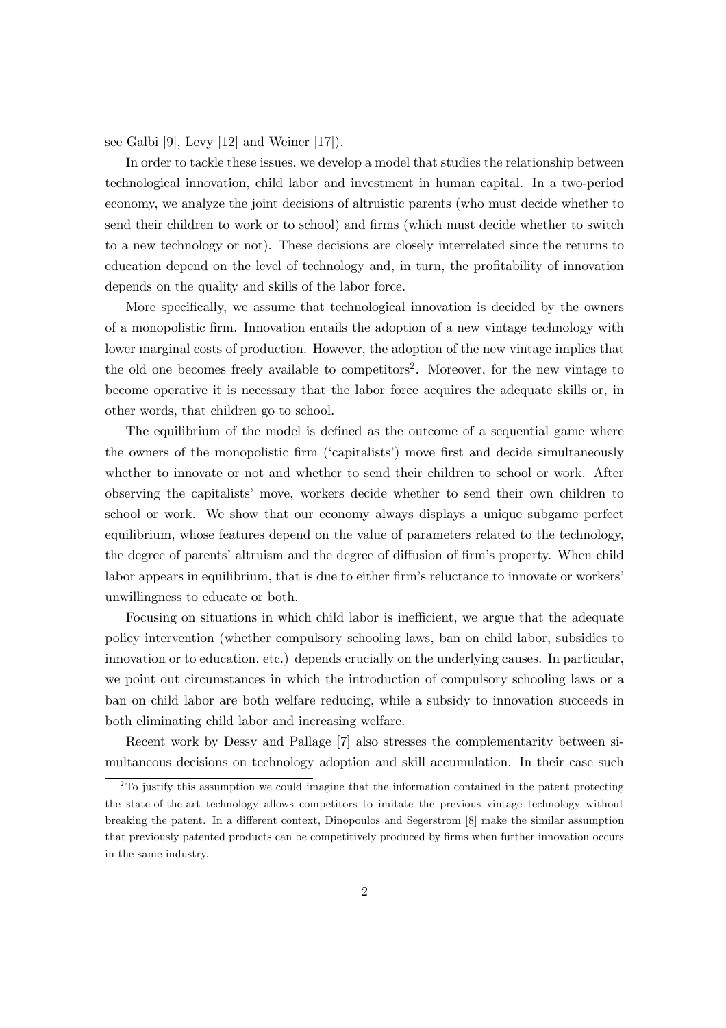see Galbi [9], Levy [12] and Weiner [17]).

In order to tackle these issues, we develop a model that studies the relationship between technological innovation, child labor and investment in human capital. In a two-period economy, we analyze the joint decisions of altruistic parents (who must decide whether to send their children to work or to school) and firms (which must decide whether to switch to a new technology or not). These decisions are closely interrelated since the returns to education depend on the level of technology and, in turn, the profitability of innovation depends on the quality and skills of the labor force.

More specifically, we assume that technological innovation is decided by the owners of a monopolistic firm. Innovation entails the adoption of a new vintage technology with lower marginal costs of production. However, the adoption of the new vintage implies that the old one becomes freely available to competitors<sup>2</sup>. Moreover, for the new vintage to become operative it is necessary that the labor force acquires the adequate skills or, in other words, that children go to school.

The equilibrium of the model is defined as the outcome of a sequential game where the owners of the monopolistic firm ('capitalists') move first and decide simultaneously whether to innovate or not and whether to send their children to school or work. After observing the capitalists' move, workers decide whether to send their own children to school or work. We show that our economy always displays a unique subgame perfect equilibrium, whose features depend on the value of parameters related to the technology, the degree of parents' altruism and the degree of diffusion of firm's property. When child labor appears in equilibrium, that is due to either firm's reluctance to innovate or workers' unwillingness to educate or both.

Focusing on situations in which child labor is inefficient, we argue that the adequate policy intervention (whether compulsory schooling laws, ban on child labor, subsidies to innovation or to education, etc.) depends crucially on the underlying causes. In particular, we point out circumstances in which the introduction of compulsory schooling laws or a ban on child labor are both welfare reducing, while a subsidy to innovation succeeds in both eliminating child labor and increasing welfare.

Recent work by Dessy and Pallage [7] also stresses the complementarity between simultaneous decisions on technology adoption and skill accumulation. In their case such

<sup>&</sup>lt;sup>2</sup>To justify this assumption we could imagine that the information contained in the patent protecting the state-of-the-art technology allows competitors to imitate the previous vintage technology without breaking the patent. In a different context, Dinopoulos and Segerstrom [8] make the similar assumption that previously patented products can be competitively produced by firms when further innovation occurs in the same industry.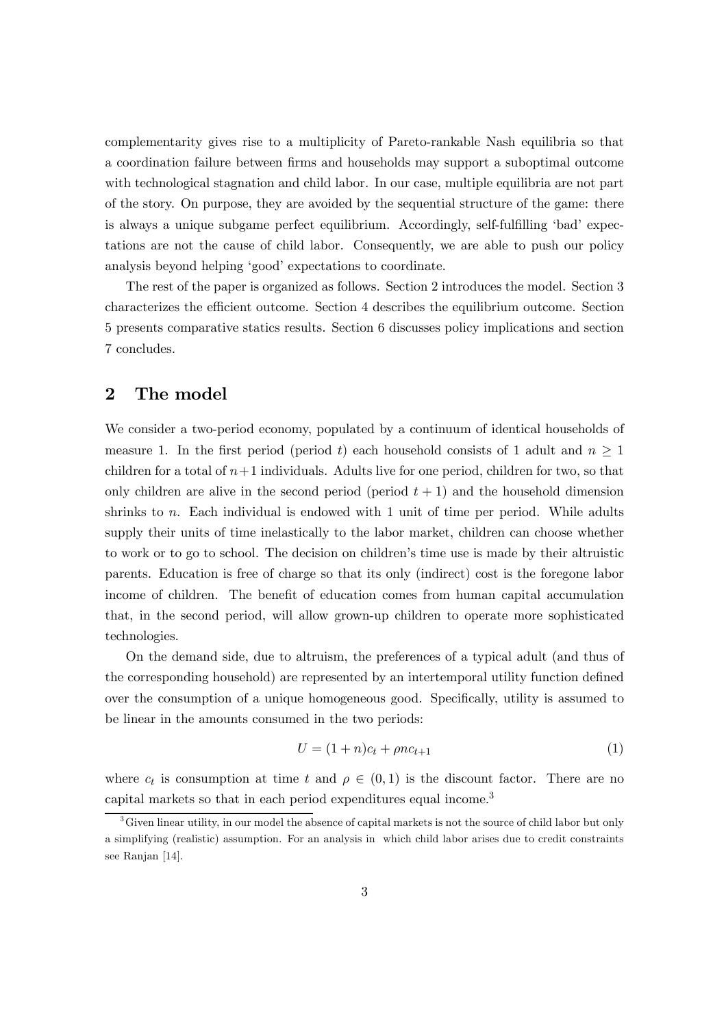complementarity gives rise to a multiplicity of Pareto-rankable Nash equilibria so that a coordination failure between firms and households may support a suboptimal outcome with technological stagnation and child labor. In our case, multiple equilibria are not part of the story. On purpose, they are avoided by the sequential structure of the game: there is always a unique subgame perfect equilibrium. Accordingly, self-fulfilling 'bad' expectations are not the cause of child labor. Consequently, we are able to push our policy analysis beyond helping 'good' expectations to coordinate.

The rest of the paper is organized as follows. Section 2 introduces the model. Section 3 characterizes the efficient outcome. Section 4 describes the equilibrium outcome. Section 5 presents comparative statics results. Section 6 discusses policy implications and section 7 concludes.

## 2 The model

We consider a two-period economy, populated by a continuum of identical households of measure 1. In the first period (period t) each household consists of 1 adult and  $n \geq 1$ children for a total of  $n+1$  individuals. Adults live for one period, children for two, so that only children are alive in the second period (period  $t + 1$ ) and the household dimension shrinks to  $n$ . Each individual is endowed with 1 unit of time per period. While adults supply their units of time inelastically to the labor market, children can choose whether to work or to go to school. The decision on children's time use is made by their altruistic parents. Education is free of charge so that its only (indirect) cost is the foregone labor income of children. The benefit of education comes from human capital accumulation that, in the second period, will allow grown-up children to operate more sophisticated technologies.

On the demand side, due to altruism, the preferences of a typical adult (and thus of the corresponding household) are represented by an intertemporal utility function defined over the consumption of a unique homogeneous good. Specifically, utility is assumed to be linear in the amounts consumed in the two periods:

$$
U = (1+n)c_t + \rho n c_{t+1}
$$
 (1)

where  $c_t$  is consumption at time t and  $\rho \in (0,1)$  is the discount factor. There are no capital markets so that in each period expenditures equal income.<sup>3</sup>

<sup>&</sup>lt;sup>3</sup>Given linear utility, in our model the absence of capital markets is not the source of child labor but only a simplifying (realistic) assumption. For an analysis in which child labor arises due to credit constraints see Ranjan [14].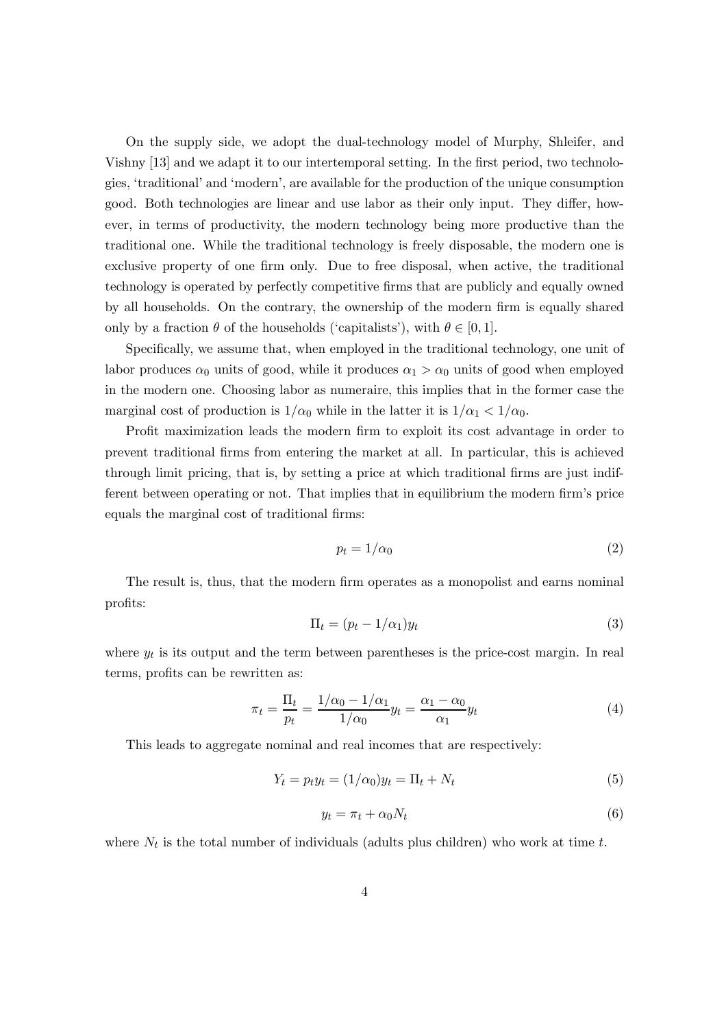On the supply side, we adopt the dual-technology model of Murphy, Shleifer, and Vishny [13] and we adapt it to our intertemporal setting. In the first period, two technologies, 'traditional' and 'modern', are available for the production of the unique consumption good. Both technologies are linear and use labor as their only input. They differ, however, in terms of productivity, the modern technology being more productive than the traditional one. While the traditional technology is freely disposable, the modern one is exclusive property of one firm only. Due to free disposal, when active, the traditional technology is operated by perfectly competitive firms that are publicly and equally owned by all households. On the contrary, the ownership of the modern firm is equally shared only by a fraction  $\theta$  of the households ('capitalists'), with  $\theta \in [0, 1]$ .

Specifically, we assume that, when employed in the traditional technology, one unit of labor produces  $\alpha_0$  units of good, while it produces  $\alpha_1 > \alpha_0$  units of good when employed in the modern one. Choosing labor as numeraire, this implies that in the former case the marginal cost of production is  $1/\alpha_0$  while in the latter it is  $1/\alpha_1 < 1/\alpha_0$ .

Profit maximization leads the modern firm to exploit its cost advantage in order to prevent traditional firms from entering the market at all. In particular, this is achieved through limit pricing, that is, by setting a price at which traditional firms are just indifferent between operating or not. That implies that in equilibrium the modern firm's price equals the marginal cost of traditional firms:

$$
p_t = 1/\alpha_0 \tag{2}
$$

The result is, thus, that the modern firm operates as a monopolist and earns nominal profits:

$$
\Pi_t = (p_t - 1/\alpha_1)y_t \tag{3}
$$

where  $y_t$  is its output and the term between parentheses is the price-cost margin. In real terms, profits can be rewritten as:

$$
\pi_t = \frac{\Pi_t}{p_t} = \frac{1/\alpha_0 - 1/\alpha_1}{1/\alpha_0} y_t = \frac{\alpha_1 - \alpha_0}{\alpha_1} y_t \tag{4}
$$

This leads to aggregate nominal and real incomes that are respectively:

$$
Y_t = p_t y_t = (1/\alpha_0)y_t = \Pi_t + N_t
$$
\n(5)

$$
y_t = \pi_t + \alpha_0 N_t \tag{6}
$$

where  $N_t$  is the total number of individuals (adults plus children) who work at time t.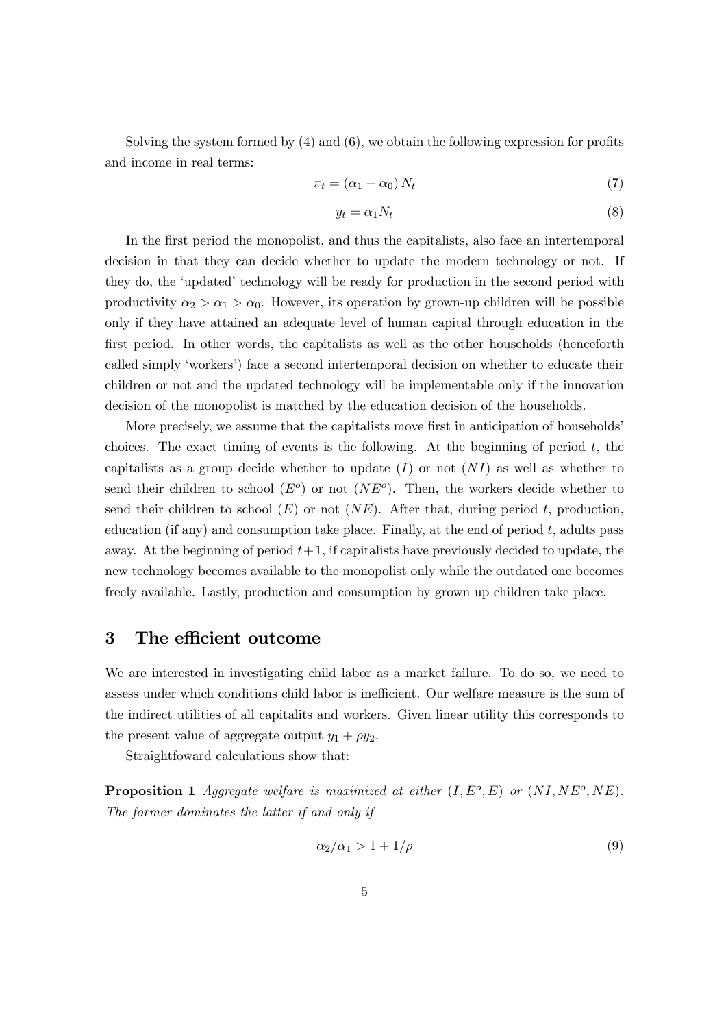Solving the system formed by (4) and (6), we obtain the following expression for profits and income in real terms:

$$
\pi_t = (\alpha_1 - \alpha_0) N_t \tag{7}
$$

$$
y_t = \alpha_1 N_t \tag{8}
$$

In the first period the monopolist, and thus the capitalists, also face an intertemporal decision in that they can decide whether to update the modern technology or not. If they do, the 'updated' technology will be ready for production in the second period with productivity  $\alpha_2 > \alpha_1 > \alpha_0$ . However, its operation by grown-up children will be possible only if they have attained an adequate level of human capital through education in the first period. In other words, the capitalists as well as the other households (henceforth called simply 'workers') face a second intertemporal decision on whether to educate their children or not and the updated technology will be implementable only if the innovation decision of the monopolist is matched by the education decision of the households.

More precisely, we assume that the capitalists move first in anticipation of households' choices. The exact timing of events is the following. At the beginning of period  $t$ , the capitalists as a group decide whether to update  $(I)$  or not  $(NI)$  as well as whether to send their children to school  $(E^o)$  or not  $(NE^o)$ . Then, the workers decide whether to send their children to school  $(E)$  or not  $(NE)$ . After that, during period t, production, education (if any) and consumption take place. Finally, at the end of period  $t$ , adults pass away. At the beginning of period  $t+1$ , if capitalists have previously decided to update, the new technology becomes available to the monopolist only while the outdated one becomes freely available. Lastly, production and consumption by grown up children take place.

## 3 The efficient outcome

We are interested in investigating child labor as a market failure. To do so, we need to assess under which conditions child labor is inefficient. Our welfare measure is the sum of the indirect utilities of all capitalits and workers. Given linear utility this corresponds to the present value of aggregate output  $y_1 + \rho y_2$ .

Straightfoward calculations show that:

**Proposition 1** Aggregate welfare is maximized at either  $(I, E^o, E)$  or  $(NI, NE^o, NE)$ . The former dominates the latter if and only if

$$
\alpha_2/\alpha_1 > 1 + 1/\rho \tag{9}
$$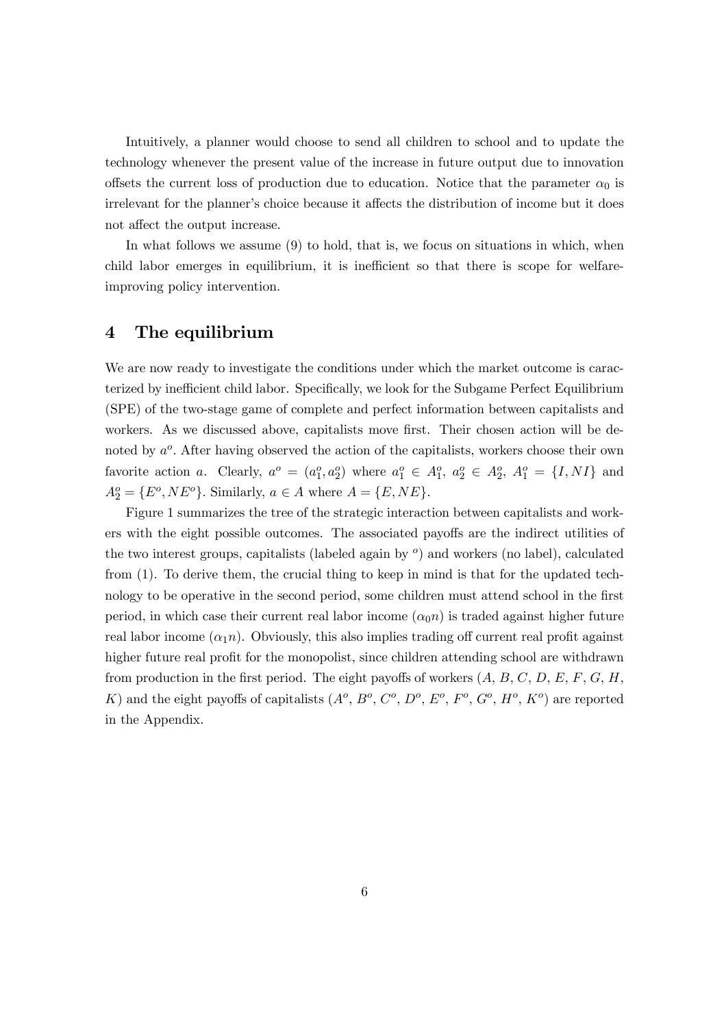Intuitively, a planner would choose to send all children to school and to update the technology whenever the present value of the increase in future output due to innovation offsets the current loss of production due to education. Notice that the parameter  $\alpha_0$  is irrelevant for the planner's choice because it affects the distribution of income but it does not affect the output increase.

In what follows we assume (9) to hold, that is, we focus on situations in which, when child labor emerges in equilibrium, it is inefficient so that there is scope for welfareimproving policy intervention.

## 4 The equilibrium

We are now ready to investigate the conditions under which the market outcome is caracterized by inefficient child labor. Specifically, we look for the Subgame Perfect Equilibrium (SPE) of the two-stage game of complete and perfect information between capitalists and workers. As we discussed above, capitalists move first. Their chosen action will be denoted by  $a^o$ . After having observed the action of the capitalists, workers choose their own favorite action a. Clearly,  $a^o = (a_1^o, a_2^o)$  where  $a_1^o \in A_1^o$ ,  $a_2^o \in A_2^o$ ,  $A_1^o = \{I, NI\}$  and  $A_2^o = \{E^o, NE^o\}$ . Similarly,  $a \in A$  where  $A = \{E, NE\}$ .

Figure 1 summarizes the tree of the strategic interaction between capitalists and workers with the eight possible outcomes. The associated payoffs are the indirect utilities of the two interest groups, capitalists (labeled again by  $\degree$ ) and workers (no label), calculated from (1). To derive them, the crucial thing to keep in mind is that for the updated technology to be operative in the second period, some children must attend school in the first period, in which case their current real labor income  $(\alpha_0 n)$  is traded against higher future real labor income  $(\alpha_1 n)$ . Obviously, this also implies trading off current real profit against higher future real profit for the monopolist, since children attending school are withdrawn from production in the first period. The eight payoffs of workers  $(A, B, C, D, E, F, G, H,$ K) and the eight payoffs of capitalists  $(A<sup>o</sup>, B<sup>o</sup>, C<sup>o</sup>, D<sup>o</sup>, E<sup>o</sup>, F<sup>o</sup>, G<sup>o</sup>, H<sup>o</sup>, K<sup>o</sup>)$  are reported in the Appendix.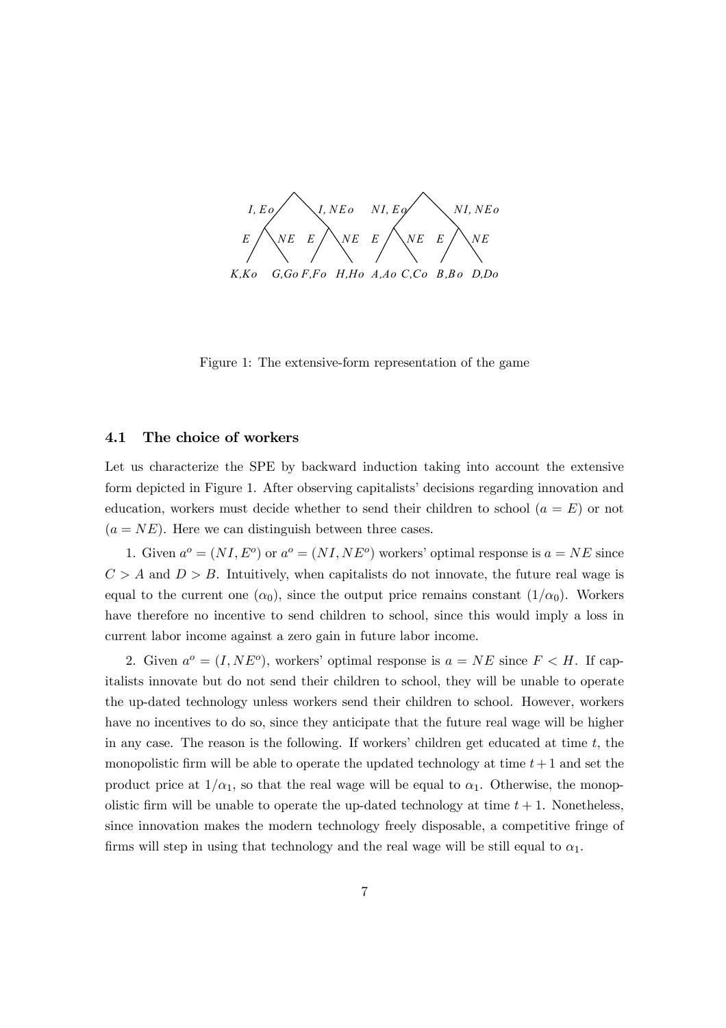

Figure 1: The extensive-form representation of the game

#### 4.1 The choice of workers

Let us characterize the SPE by backward induction taking into account the extensive form depicted in Figure 1. After observing capitalists' decisions regarding innovation and education, workers must decide whether to send their children to school  $(a = E)$  or not  $(a = NE)$ . Here we can distinguish between three cases.

1. Given  $a^o = (NI, E^o)$  or  $a^o = (NI, NE^o)$  workers' optimal response is  $a = NE$  since  $C>A$  and  $D>B$ . Intuitively, when capitalists do not innovate, the future real wage is equal to the current one  $(\alpha_0)$ , since the output price remains constant  $(1/\alpha_0)$ . Workers have therefore no incentive to send children to school, since this would imply a loss in current labor income against a zero gain in future labor income.

2. Given  $a^o = (I, NE^o)$ , workers' optimal response is  $a = NE$  since  $F < H$ . If capitalists innovate but do not send their children to school, they will be unable to operate the up-dated technology unless workers send their children to school. However, workers have no incentives to do so, since they anticipate that the future real wage will be higher in any case. The reason is the following. If workers' children get educated at time  $t$ , the monopolistic firm will be able to operate the updated technology at time  $t+1$  and set the product price at  $1/\alpha_1$ , so that the real wage will be equal to  $\alpha_1$ . Otherwise, the monopolistic firm will be unable to operate the up-dated technology at time  $t + 1$ . Nonetheless, since innovation makes the modern technology freely disposable, a competitive fringe of firms will step in using that technology and the real wage will be still equal to  $\alpha_1$ .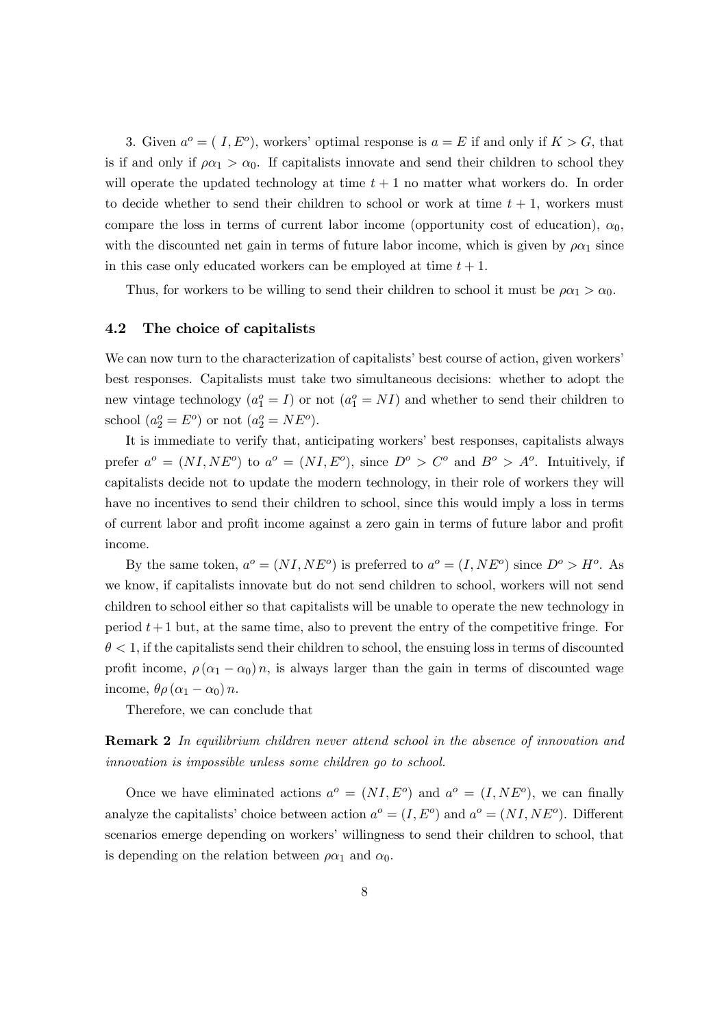3. Given  $a^o = (I, E^o)$ , workers' optimal response is  $a = E$  if and only if  $K > G$ , that is if and only if  $\rho \alpha_1 > \alpha_0$ . If capitalists innovate and send their children to school they will operate the updated technology at time  $t + 1$  no matter what workers do. In order to decide whether to send their children to school or work at time  $t + 1$ , workers must compare the loss in terms of current labor income (opportunity cost of education),  $\alpha_0$ , with the discounted net gain in terms of future labor income, which is given by  $\rho \alpha_1$  since in this case only educated workers can be employed at time  $t + 1$ .

Thus, for workers to be willing to send their children to school it must be  $\rho \alpha_1 > \alpha_0$ .

#### 4.2 The choice of capitalists

We can now turn to the characterization of capitalists' best course of action, given workers' best responses. Capitalists must take two simultaneous decisions: whether to adopt the new vintage technology  $(a_1^o = I)$  or not  $(a_1^o = NI)$  and whether to send their children to school  $(a_2^o = E^o)$  or not  $(a_2^o = NE^o)$ .

It is immediate to verify that, anticipating workers' best responses, capitalists always prefer  $a^o = (NI, NE^o)$  to  $a^o = (NI, E^o)$ , since  $D^o > C^o$  and  $B^o > A^o$ . Intuitively, if capitalists decide not to update the modern technology, in their role of workers they will have no incentives to send their children to school, since this would imply a loss in terms of current labor and profit income against a zero gain in terms of future labor and profit income.

By the same token,  $a^o = (NI, NE^o)$  is preferred to  $a^o = (I, NE^o)$  since  $D^o > H^o$ . As we know, if capitalists innovate but do not send children to school, workers will not send children to school either so that capitalists will be unable to operate the new technology in period  $t+1$  but, at the same time, also to prevent the entry of the competitive fringe. For  $\theta$  < 1, if the capitalists send their children to school, the ensuing loss in terms of discounted profit income,  $\rho(\alpha_1 - \alpha_0)n$ , is always larger than the gain in terms of discounted wage income,  $\theta \rho (\alpha_1 - \alpha_0) n$ .

Therefore, we can conclude that

Remark 2 In equilibrium children never attend school in the absence of innovation and innovation is impossible unless some children go to school.

Once we have eliminated actions  $a^{\circ} = (NI, E^{\circ})$  and  $a^{\circ} = (I, NE^{\circ})$ , we can finally analyze the capitalists' choice between action  $a^o = (I, E^o)$  and  $a^o = (NI, NE^o)$ . Different scenarios emerge depending on workers' willingness to send their children to school, that is depending on the relation between  $\rho \alpha_1$  and  $\alpha_0$ .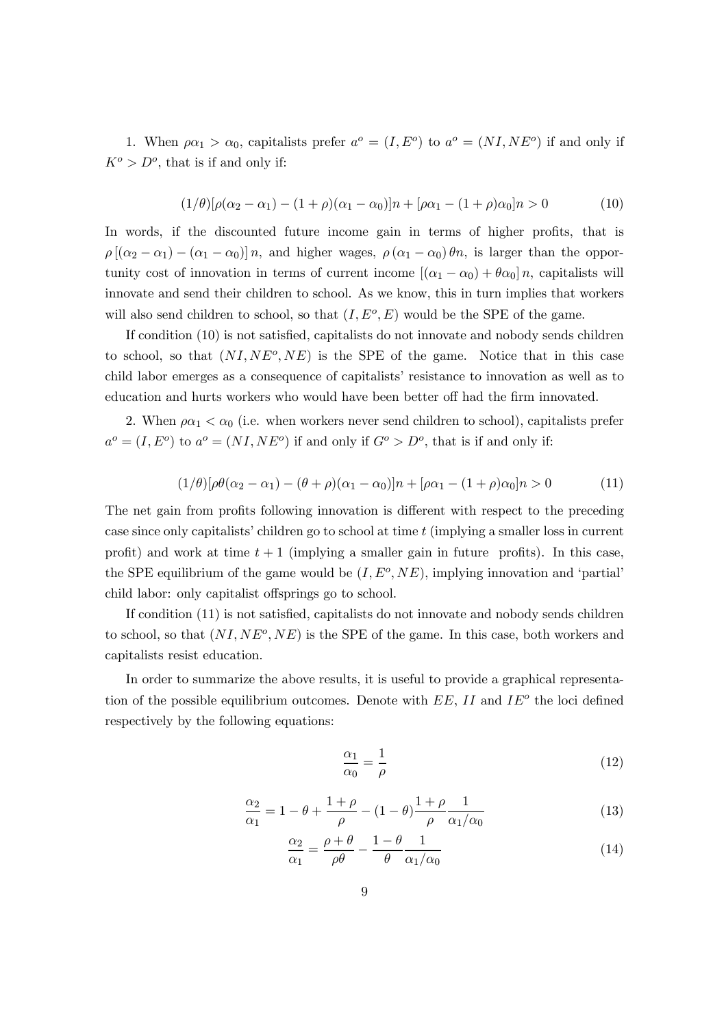1. When  $\rho \alpha_1 > \alpha_0$ , capitalists prefer  $a^o = (I, E^o)$  to  $a^o = (NI, NE^o)$  if and only if  $K^{\circ} > D^{\circ}$ , that is if and only if:

$$
(1/\theta)[\rho(\alpha_2 - \alpha_1) - (1 + \rho)(\alpha_1 - \alpha_0)]n + [\rho\alpha_1 - (1 + \rho)\alpha_0]n > 0
$$
\n(10)

In words, if the discounted future income gain in terms of higher profits, that is  $\rho$  [( $\alpha_2 - \alpha_1$ ) – ( $\alpha_1 - \alpha_0$ )] n, and higher wages,  $\rho$  ( $\alpha_1 - \alpha_0$ )  $\theta$ n, is larger than the opportunity cost of innovation in terms of current income  $[(\alpha_1 - \alpha_0) + \theta \alpha_0] n$ , capitalists will innovate and send their children to school. As we know, this in turn implies that workers will also send children to school, so that  $(I, E<sup>o</sup>, E)$  would be the SPE of the game.

If condition (10) is not satisfied, capitalists do not innovate and nobody sends children to school, so that  $(NI,NE^o,NE)$  is the SPE of the game. Notice that in this case child labor emerges as a consequence of capitalists' resistance to innovation as well as to education and hurts workers who would have been better off had the firm innovated.

2. When  $\rho \alpha_1 < \alpha_0$  (i.e. when workers never send children to school), capitalists prefer  $a^o = (I, E^o)$  to  $a^o = (NI, NE^o)$  if and only if  $G^o > D^o$ , that is if and only if:

$$
(1/\theta)[\rho\theta(\alpha_2 - \alpha_1) - (\theta + \rho)(\alpha_1 - \alpha_0)]n + [\rho\alpha_1 - (1 + \rho)\alpha_0]n > 0
$$
\n(11)

The net gain from profits following innovation is different with respect to the preceding case since only capitalists' children go to school at time t (implying a smaller loss in current profit) and work at time  $t + 1$  (implying a smaller gain in future profits). In this case, the SPE equilibrium of the game would be  $(I, E^o, NE)$ , implying innovation and 'partial' child labor: only capitalist offsprings go to school.

If condition (11) is not satisfied, capitalists do not innovate and nobody sends children to school, so that  $(NI,NE^o,NE)$  is the SPE of the game. In this case, both workers and capitalists resist education.

In order to summarize the above results, it is useful to provide a graphical representation of the possible equilibrium outcomes. Denote with  $EE$ ,  $II$  and  $IE^o$  the loci defined respectively by the following equations:

$$
\frac{\alpha_1}{\alpha_0} = \frac{1}{\rho} \tag{12}
$$

$$
\frac{\alpha_2}{\alpha_1} = 1 - \theta + \frac{1+\rho}{\rho} - (1-\theta)\frac{1+\rho}{\rho}\frac{1}{\alpha_1/\alpha_0} \tag{13}
$$

$$
\frac{\alpha_2}{\alpha_1} = \frac{\rho + \theta}{\rho \theta} - \frac{1 - \theta}{\theta} \frac{1}{\alpha_1/\alpha_0} \tag{14}
$$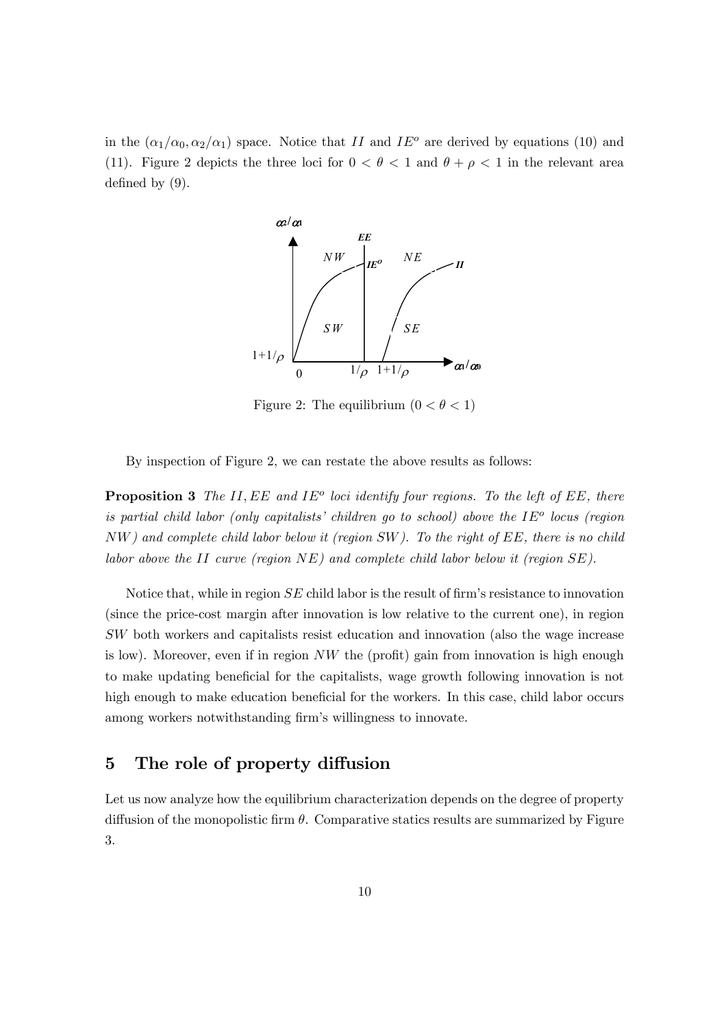in the  $(\alpha_1/\alpha_0, \alpha_2/\alpha_1)$  space. Notice that II and IE<sup>o</sup> are derived by equations (10) and (11). Figure 2 depicts the three loci for  $0 < \theta < 1$  and  $\theta + \rho < 1$  in the relevant area defined by (9).



Figure 2: The equilibrium  $(0 < \theta < 1)$ 

By inspection of Figure 2, we can restate the above results as follows:

**Proposition 3** The II, EE and IE<sup>o</sup> loci identify four regions. To the left of EE, there is partial child labor (only capitalists' children go to school) above the  $IE^o$  locus (region NW) and complete child labor below it (region SW). To the right of EE, there is no child labor above the II curve (region  $NE$ ) and complete child labor below it (region  $SE$ ).

Notice that, while in region SE child labor is the result of firm's resistance to innovation (since the price-cost margin after innovation is low relative to the current one), in region SW both workers and capitalists resist education and innovation (also the wage increase is low). Moreover, even if in region NW the (profit) gain from innovation is high enough to make updating beneficial for the capitalists, wage growth following innovation is not high enough to make education beneficial for the workers. In this case, child labor occurs among workers notwithstanding firm's willingness to innovate.

## 5 The role of property diffusion

Let us now analyze how the equilibrium characterization depends on the degree of property diffusion of the monopolistic firm  $\theta$ . Comparative statics results are summarized by Figure 3.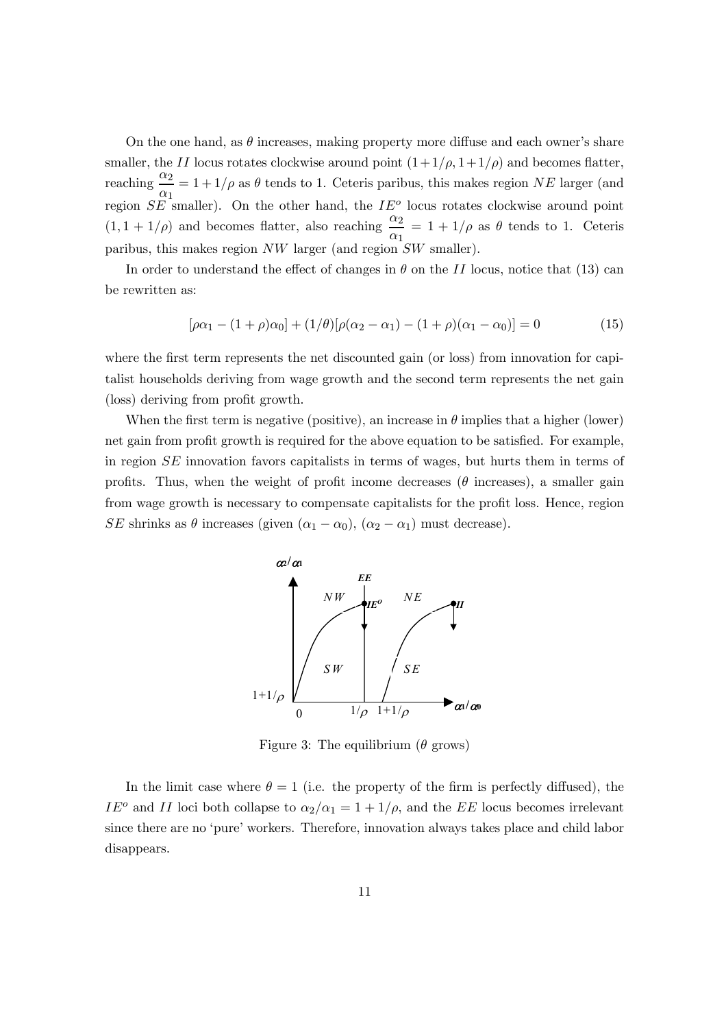On the one hand, as  $\theta$  increases, making property more diffuse and each owner's share smaller, the II locus rotates clockwise around point  $(1+1/\rho, 1+1/\rho)$  and becomes flatter, reaching  $\frac{\alpha_2}{\alpha_1}$  $\frac{\alpha_2}{\alpha_1} = 1 + 1/\rho$  as  $\theta$  tends to 1. Ceteris paribus, this makes region NE larger (and region  $SE$  smaller). On the other hand, the  $IE^o$  locus rotates clockwise around point  $(1, 1+1/\rho)$  and becomes flatter, also reaching  $\frac{\alpha_2}{\rho}$  $\frac{\alpha_2}{\alpha_1} = 1 + 1/\rho$  as  $\theta$  tends to 1. Ceteris paribus, this makes region  $NW$  larger (and region  $SW$  smaller).

In order to understand the effect of changes in  $\theta$  on the II locus, notice that (13) can be rewritten as:

$$
[\rho \alpha_1 - (1 + \rho) \alpha_0] + (1/\theta) [\rho (\alpha_2 - \alpha_1) - (1 + \rho) (\alpha_1 - \alpha_0)] = 0 \tag{15}
$$

where the first term represents the net discounted gain (or loss) from innovation for capitalist households deriving from wage growth and the second term represents the net gain (loss) deriving from profit growth.

When the first term is negative (positive), an increase in  $\theta$  implies that a higher (lower) net gain from profit growth is required for the above equation to be satisfied. For example, in region SE innovation favors capitalists in terms of wages, but hurts them in terms of profits. Thus, when the weight of profit income decreases ( $\theta$  increases), a smaller gain from wage growth is necessary to compensate capitalists for the profit loss. Hence, region SE shrinks as  $\theta$  increases (given  $(\alpha_1 - \alpha_0)$ ,  $(\alpha_2 - \alpha_1)$  must decrease).



Figure 3: The equilibrium ( $\theta$  grows)

In the limit case where  $\theta = 1$  (i.e. the property of the firm is perfectly diffused), the IE<sup>o</sup> and II loci both collapse to  $\alpha_2/\alpha_1 = 1+1/\rho$ , and the EE locus becomes irrelevant since there are no 'pure' workers. Therefore, innovation always takes place and child labor disappears.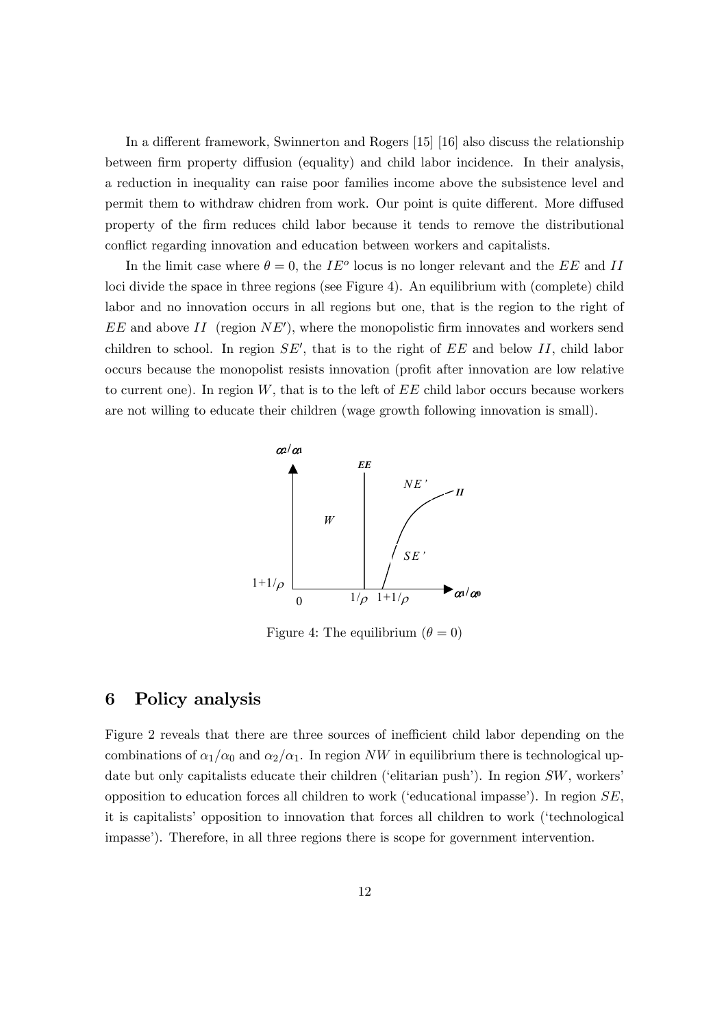In a different framework, Swinnerton and Rogers [15] [16] also discuss the relationship between firm property diffusion (equality) and child labor incidence. In their analysis, a reduction in inequality can raise poor families income above the subsistence level and permit them to withdraw chidren from work. Our point is quite different. More diffused property of the firm reduces child labor because it tends to remove the distributional conflict regarding innovation and education between workers and capitalists.

In the limit case where  $\theta = 0$ , the IE<sup>o</sup> locus is no longer relevant and the EE and II loci divide the space in three regions (see Figure 4). An equilibrium with (complete) child labor and no innovation occurs in all regions but one, that is the region to the right of  $EE$  and above  $II$  (region  $NE'$ ), where the monopolistic firm innovates and workers send children to school. In region  $SE'$ , that is to the right of  $EE$  and below II, child labor occurs because the monopolist resists innovation (profit after innovation are low relative to current one). In region  $W$ , that is to the left of  $EE$  child labor occurs because workers are not willing to educate their children (wage growth following innovation is small).



Figure 4: The equilibrium  $(\theta = 0)$ 

## 6 Policy analysis

Figure 2 reveals that there are three sources of inefficient child labor depending on the combinations of  $\alpha_1/\alpha_0$  and  $\alpha_2/\alpha_1$ . In region NW in equilibrium there is technological update but only capitalists educate their children ('elitarian push'). In region SW, workers' opposition to education forces all children to work ('educational impasse'). In region SE, it is capitalists' opposition to innovation that forces all children to work ('technological impasse'). Therefore, in all three regions there is scope for government intervention.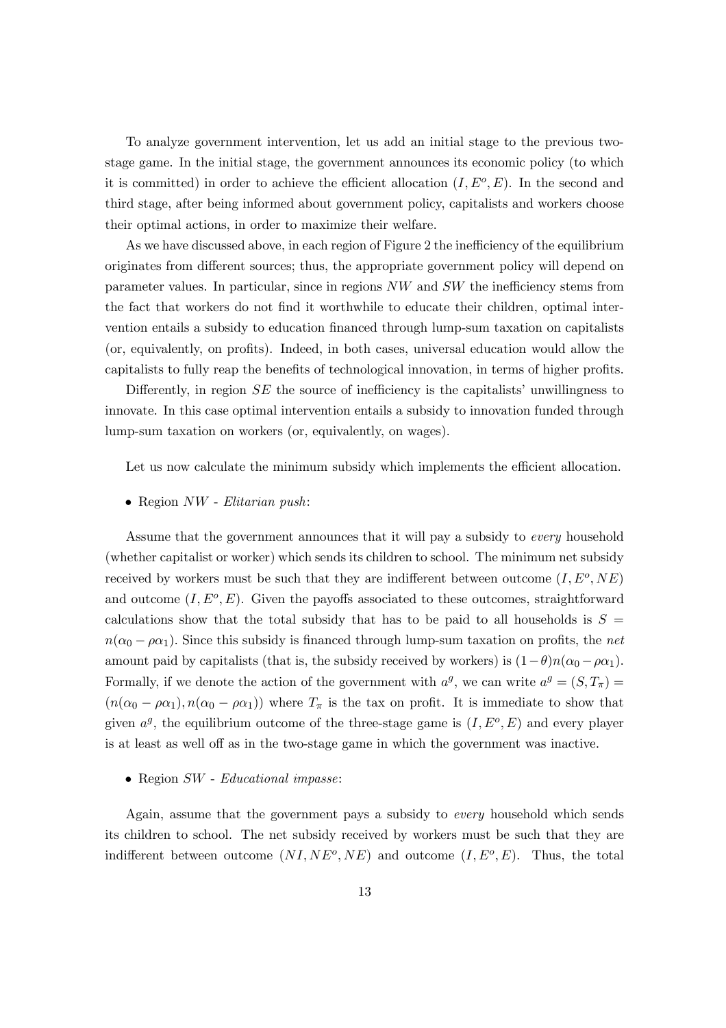To analyze government intervention, let us add an initial stage to the previous twostage game. In the initial stage, the government announces its economic policy (to which it is committed) in order to achieve the efficient allocation  $(I, E^o, E)$ . In the second and third stage, after being informed about government policy, capitalists and workers choose their optimal actions, in order to maximize their welfare.

As we have discussed above, in each region of Figure 2 the inefficiency of the equilibrium originates from different sources; thus, the appropriate government policy will depend on parameter values. In particular, since in regions NW and SW the inefficiency stems from the fact that workers do not find it worthwhile to educate their children, optimal intervention entails a subsidy to education financed through lump-sum taxation on capitalists (or, equivalently, on profits). Indeed, in both cases, universal education would allow the capitalists to fully reap the benefits of technological innovation, in terms of higher profits.

Differently, in region SE the source of inefficiency is the capitalists' unwillingness to innovate. In this case optimal intervention entails a subsidy to innovation funded through lump-sum taxation on workers (or, equivalently, on wages).

Let us now calculate the minimum subsidy which implements the efficient allocation.

• Region NW - Elitarian push:

Assume that the government announces that it will pay a subsidy to every household (whether capitalist or worker) which sends its children to school. The minimum net subsidy received by workers must be such that they are indifferent between outcome  $(I, E^o, NE)$ and outcome  $(I, E^o, E)$ . Given the payoffs associated to these outcomes, straightforward calculations show that the total subsidy that has to be paid to all households is  $S =$  $n(\alpha_0 - \rho \alpha_1)$ . Since this subsidy is financed through lump-sum taxation on profits, the net amount paid by capitalists (that is, the subsidy received by workers) is  $(1-\theta)n(\alpha_0 - \rho \alpha_1)$ . Formally, if we denote the action of the government with  $a^g$ , we can write  $a^g = (S, T_\pi) =$  $(n(\alpha_0 - \rho \alpha_1), n(\alpha_0 - \rho \alpha_1))$  where  $T_{\pi}$  is the tax on profit. It is immediate to show that given  $a^g$ , the equilibrium outcome of the three-stage game is  $(I, E^o, E)$  and every player is at least as well off as in the two-stage game in which the government was inactive.

#### • Region SW - Educational impasse:

Again, assume that the government pays a subsidy to every household which sends its children to school. The net subsidy received by workers must be such that they are indifferent between outcome  $(NI,NE^o,NE)$  and outcome  $(I, E^o, E)$ . Thus, the total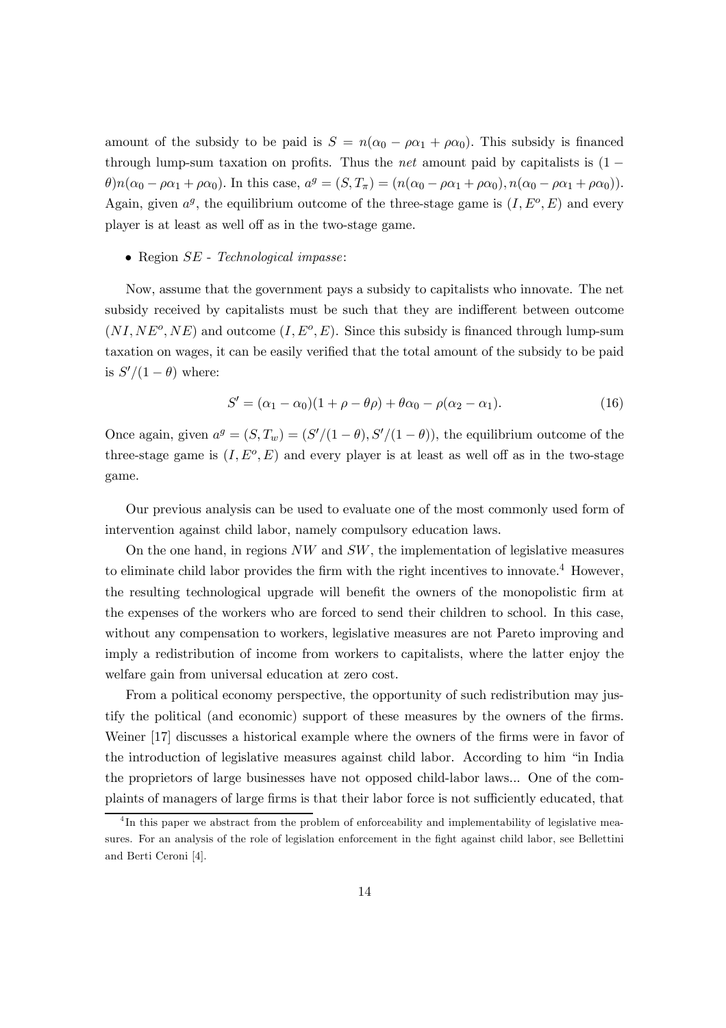amount of the subsidy to be paid is  $S = n(\alpha_0 - \rho \alpha_1 + \rho \alpha_0)$ . This subsidy is financed through lump-sum taxation on profits. Thus the *net* amount paid by capitalists is  $(1 \theta$ )n( $\alpha_0 - \rho \alpha_1 + \rho \alpha_0$ ). In this case,  $a^g = (S, T_\pi) = (n(\alpha_0 - \rho \alpha_1 + \rho \alpha_0), n(\alpha_0 - \rho \alpha_1 + \rho \alpha_0))$ . Again, given  $a^g$ , the equilibrium outcome of the three-stage game is  $(I, E^o, E)$  and every player is at least as well off as in the two-stage game.

#### • Region  $SE$  - Technological impasse:

Now, assume that the government pays a subsidy to capitalists who innovate. The net subsidy received by capitalists must be such that they are indifferent between outcome  $(NI,NE^o,NE)$  and outcome  $(I, E^o, E)$ . Since this subsidy is financed through lump-sum taxation on wages, it can be easily verified that the total amount of the subsidy to be paid is  $S'/(1-\theta)$  where:

$$
S' = (\alpha_1 - \alpha_0)(1 + \rho - \theta \rho) + \theta \alpha_0 - \rho(\alpha_2 - \alpha_1). \tag{16}
$$

Once again, given  $a^g = (S, T_w) = (S'/(1 - \theta), S'/(1 - \theta))$ , the equilibrium outcome of the three-stage game is  $(I, E^o, E)$  and every player is at least as well off as in the two-stage game.

Our previous analysis can be used to evaluate one of the most commonly used form of intervention against child labor, namely compulsory education laws.

On the one hand, in regions  $NW$  and  $SW$ , the implementation of legislative measures to eliminate child labor provides the firm with the right incentives to innovate.<sup>4</sup> However, the resulting technological upgrade will benefit the owners of the monopolistic firm at the expenses of the workers who are forced to send their children to school. In this case, without any compensation to workers, legislative measures are not Pareto improving and imply a redistribution of income from workers to capitalists, where the latter enjoy the welfare gain from universal education at zero cost.

From a political economy perspective, the opportunity of such redistribution may justify the political (and economic) support of these measures by the owners of the firms. Weiner [17] discusses a historical example where the owners of the firms were in favor of the introduction of legislative measures against child labor. According to him "in India the proprietors of large businesses have not opposed child-labor laws... One of the complaints of managers of large firms is that their labor force is not sufficiently educated, that

<sup>&</sup>lt;sup>4</sup>In this paper we abstract from the problem of enforceability and implementability of legislative measures. For an analysis of the role of legislation enforcement in the fight against child labor, see Bellettini and Berti Ceroni [4].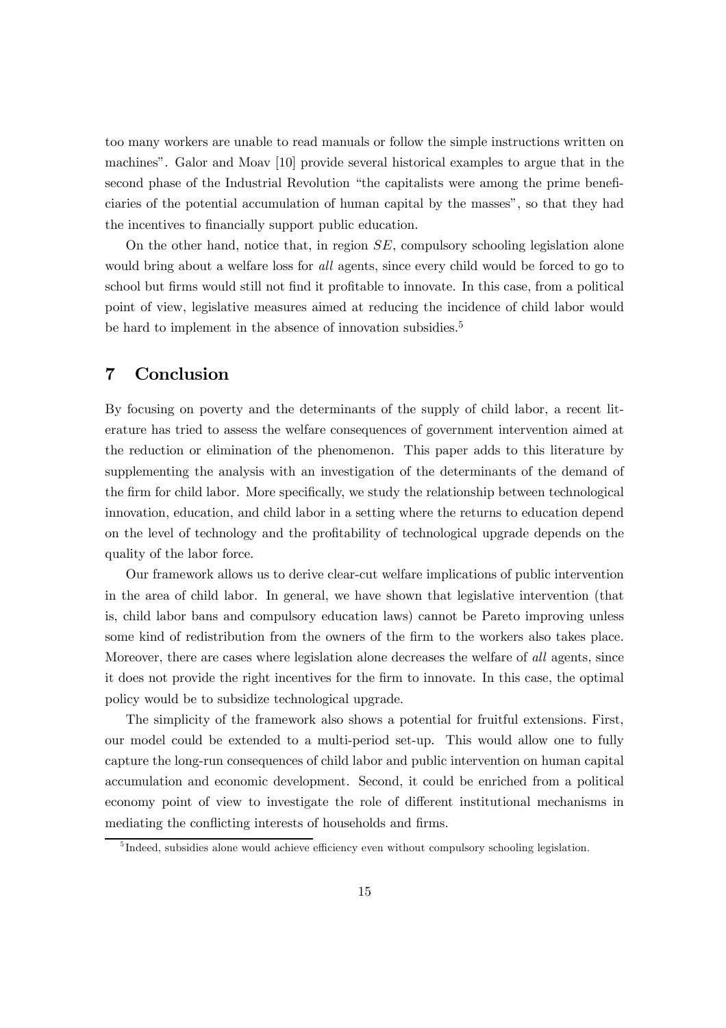too many workers are unable to read manuals or follow the simple instructions written on machines". Galor and Moav [10] provide several historical examples to argue that in the second phase of the Industrial Revolution "the capitalists were among the prime beneficiaries of the potential accumulation of human capital by the masses", so that they had the incentives to financially support public education.

On the other hand, notice that, in region SE, compulsory schooling legislation alone would bring about a welfare loss for all agents, since every child would be forced to go to school but firms would still not find it profitable to innovate. In this case, from a political point of view, legislative measures aimed at reducing the incidence of child labor would be hard to implement in the absence of innovation subsidies.<sup>5</sup>

## 7 Conclusion

By focusing on poverty and the determinants of the supply of child labor, a recent literature has tried to assess the welfare consequences of government intervention aimed at the reduction or elimination of the phenomenon. This paper adds to this literature by supplementing the analysis with an investigation of the determinants of the demand of the firm for child labor. More specifically, we study the relationship between technological innovation, education, and child labor in a setting where the returns to education depend on the level of technology and the profitability of technological upgrade depends on the quality of the labor force.

Our framework allows us to derive clear-cut welfare implications of public intervention in the area of child labor. In general, we have shown that legislative intervention (that is, child labor bans and compulsory education laws) cannot be Pareto improving unless some kind of redistribution from the owners of the firm to the workers also takes place. Moreover, there are cases where legislation alone decreases the welfare of *all* agents, since it does not provide the right incentives for the firm to innovate. In this case, the optimal policy would be to subsidize technological upgrade.

The simplicity of the framework also shows a potential for fruitful extensions. First, our model could be extended to a multi-period set-up. This would allow one to fully capture the long-run consequences of child labor and public intervention on human capital accumulation and economic development. Second, it could be enriched from a political economy point of view to investigate the role of different institutional mechanisms in mediating the conflicting interests of households and firms.

 $<sup>5</sup>$  Indeed, subsidies alone would achieve efficiency even without compulsory schooling legislation.</sup>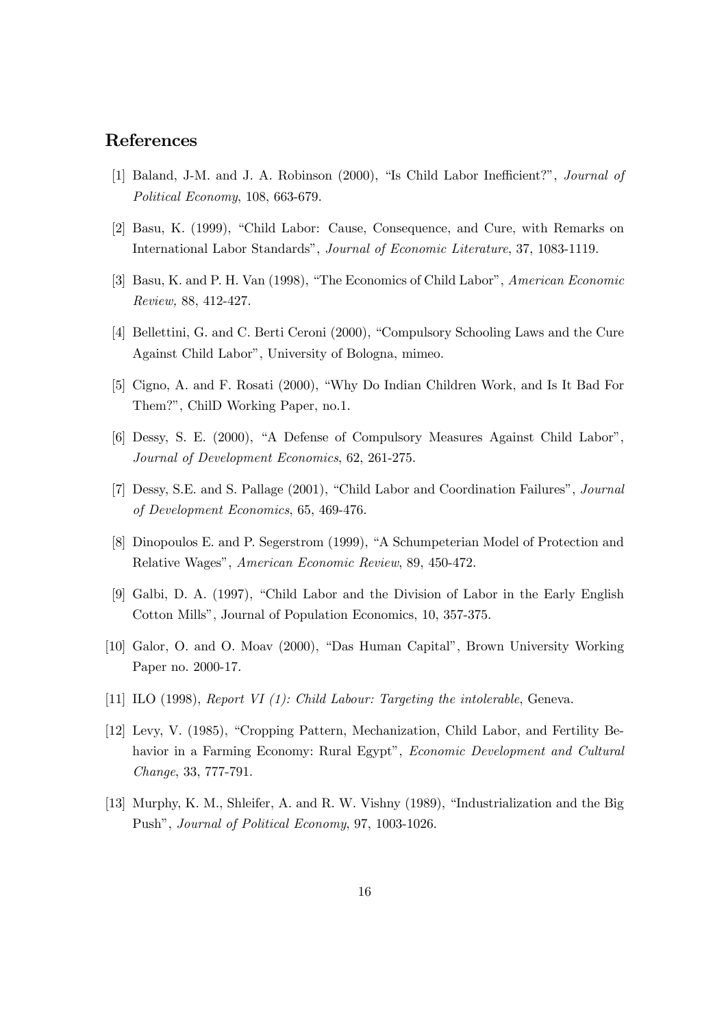## References

- [1] Baland, J-M. and J. A. Robinson (2000), "Is Child Labor Inefficient?", Journal of Political Economy, 108, 663-679.
- [2] Basu, K. (1999), "Child Labor: Cause, Consequence, and Cure, with Remarks on International Labor Standards", Journal of Economic Literature, 37, 1083-1119.
- [3] Basu, K. and P. H. Van (1998), "The Economics of Child Labor", American Economic Review, 88, 412-427.
- [4] Bellettini, G. and C. Berti Ceroni (2000), "Compulsory Schooling Laws and the Cure Against Child Labor", University of Bologna, mimeo.
- [5] Cigno, A. and F. Rosati (2000), "Why Do Indian Children Work, and Is It Bad For Them?", ChilD Working Paper, no.1.
- [6] Dessy, S. E. (2000), "A Defense of Compulsory Measures Against Child Labor", Journal of Development Economics, 62, 261-275.
- [7] Dessy, S.E. and S. Pallage (2001), "Child Labor and Coordination Failures", Journal of Development Economics, 65, 469-476.
- [8] Dinopoulos E. and P. Segerstrom (1999), "A Schumpeterian Model of Protection and Relative Wages", American Economic Review, 89, 450-472.
- [9] Galbi, D. A. (1997), "Child Labor and the Division of Labor in the Early English Cotton Mills", Journal of Population Economics, 10, 357-375.
- [10] Galor, O. and O. Moav (2000), "Das Human Capital", Brown University Working Paper no. 2000-17.
- [11] ILO (1998), Report VI (1): Child Labour: Targeting the intolerable, Geneva.
- [12] Levy, V. (1985), "Cropping Pattern, Mechanization, Child Labor, and Fertility Behavior in a Farming Economy: Rural Egypt", *Economic Development and Cultural* Change, 33, 777-791.
- [13] Murphy, K. M., Shleifer, A. and R. W. Vishny (1989), "Industrialization and the Big Push", Journal of Political Economy, 97, 1003-1026.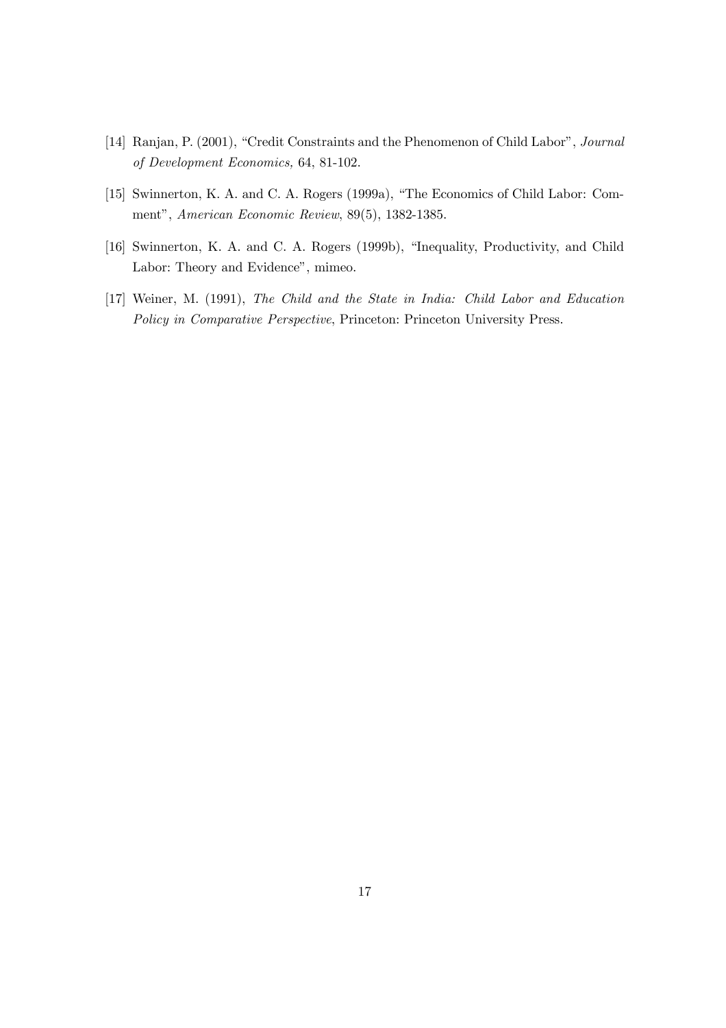- [14] Ranjan, P. (2001), "Credit Constraints and the Phenomenon of Child Labor", Journal of Development Economics, 64, 81-102.
- [15] Swinnerton, K. A. and C. A. Rogers (1999a), "The Economics of Child Labor: Comment", American Economic Review, 89(5), 1382-1385.
- [16] Swinnerton, K. A. and C. A. Rogers (1999b), "Inequality, Productivity, and Child Labor: Theory and Evidence", mimeo.
- [17] Weiner, M. (1991), The Child and the State in India: Child Labor and Education Policy in Comparative Perspective, Princeton: Princeton University Press.